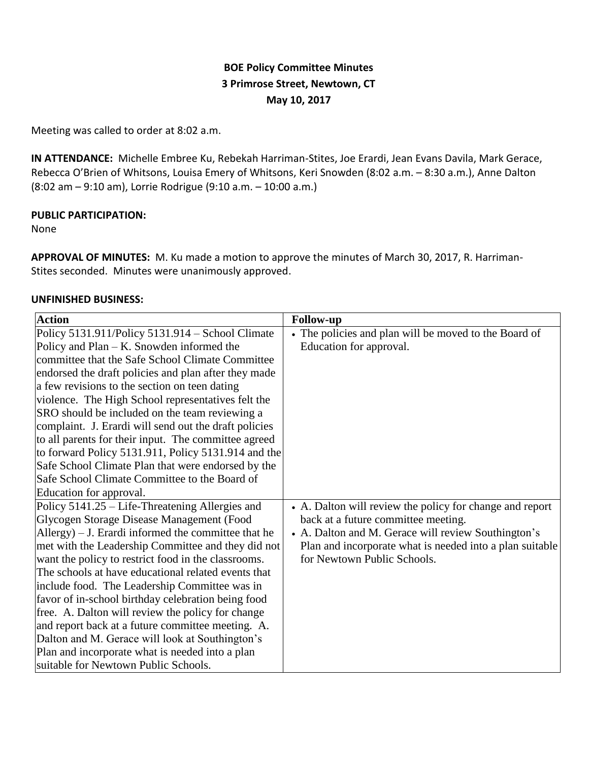# **BOE Policy Committee Minutes 3 Primrose Street, Newtown, CT May 10, 2017**

Meeting was called to order at 8:02 a.m.

**IN ATTENDANCE:** Michelle Embree Ku, Rebekah Harriman-Stites, Joe Erardi, Jean Evans Davila, Mark Gerace, Rebecca O'Brien of Whitsons, Louisa Emery of Whitsons, Keri Snowden (8:02 a.m. – 8:30 a.m.), Anne Dalton (8:02 am – 9:10 am), Lorrie Rodrigue (9:10 a.m. – 10:00 a.m.)

## **PUBLIC PARTICIPATION:**

None

**APPROVAL OF MINUTES:** M. Ku made a motion to approve the minutes of March 30, 2017, R. Harriman-Stites seconded. Minutes were unanimously approved.

## **UNFINISHED BUSINESS:**

| <b>Action</b>                                           | <b>Follow-up</b>                                         |
|---------------------------------------------------------|----------------------------------------------------------|
| Policy 5131.911/Policy 5131.914 – School Climate        | • The policies and plan will be moved to the Board of    |
| Policy and Plan – K. Snowden informed the               | Education for approval.                                  |
| committee that the Safe School Climate Committee        |                                                          |
| endorsed the draft policies and plan after they made    |                                                          |
| a few revisions to the section on teen dating           |                                                          |
| violence. The High School representatives felt the      |                                                          |
| SRO should be included on the team reviewing a          |                                                          |
| complaint. J. Erardi will send out the draft policies   |                                                          |
| to all parents for their input. The committee agreed    |                                                          |
| to forward Policy 5131.911, Policy 5131.914 and the     |                                                          |
| Safe School Climate Plan that were endorsed by the      |                                                          |
| Safe School Climate Committee to the Board of           |                                                          |
| Education for approval.                                 |                                                          |
| Policy 5141.25 – Life-Threatening Allergies and         | • A. Dalton will review the policy for change and report |
| Glycogen Storage Disease Management (Food               | back at a future committee meeting.                      |
| Allergy $) - J$ . Erardi informed the committee that he | • A. Dalton and M. Gerace will review Southington's      |
| met with the Leadership Committee and they did not      | Plan and incorporate what is needed into a plan suitable |
| want the policy to restrict food in the classrooms.     | for Newtown Public Schools.                              |
| The schools at have educational related events that     |                                                          |
| include food. The Leadership Committee was in           |                                                          |
| favor of in-school birthday celebration being food      |                                                          |
| free. A. Dalton will review the policy for change       |                                                          |
| and report back at a future committee meeting. A.       |                                                          |
| Dalton and M. Gerace will look at Southington's         |                                                          |
| Plan and incorporate what is needed into a plan         |                                                          |
| suitable for Newtown Public Schools.                    |                                                          |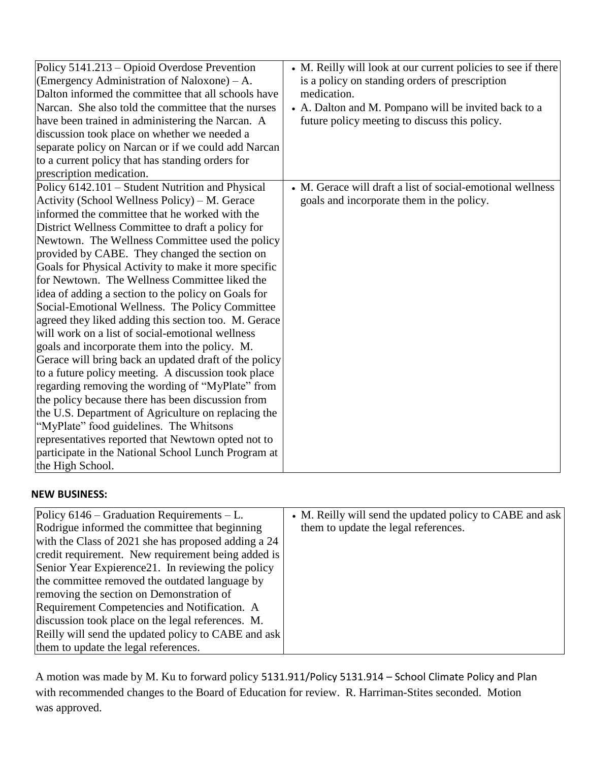| Policy 5141.213 – Opioid Overdose Prevention<br>(Emergency Administration of Naloxone) – A.<br>Dalton informed the committee that all schools have<br>Narcan. She also told the committee that the nurses<br>have been trained in administering the Narcan. A<br>discussion took place on whether we needed a<br>separate policy on Narcan or if we could add Narcan<br>to a current policy that has standing orders for<br>prescription medication.                                                                                                                                                                                                                                                                                                                                                                                                                                                                                                                                                                                                                                                                                  | • M. Reilly will look at our current policies to see if there<br>is a policy on standing orders of prescription<br>medication.<br>• A. Dalton and M. Pompano will be invited back to a<br>future policy meeting to discuss this policy. |
|---------------------------------------------------------------------------------------------------------------------------------------------------------------------------------------------------------------------------------------------------------------------------------------------------------------------------------------------------------------------------------------------------------------------------------------------------------------------------------------------------------------------------------------------------------------------------------------------------------------------------------------------------------------------------------------------------------------------------------------------------------------------------------------------------------------------------------------------------------------------------------------------------------------------------------------------------------------------------------------------------------------------------------------------------------------------------------------------------------------------------------------|-----------------------------------------------------------------------------------------------------------------------------------------------------------------------------------------------------------------------------------------|
| Policy 6142.101 – Student Nutrition and Physical<br>Activity (School Wellness Policy) – M. Gerace<br>informed the committee that he worked with the<br>District Wellness Committee to draft a policy for<br>Newtown. The Wellness Committee used the policy<br>provided by CABE. They changed the section on<br>Goals for Physical Activity to make it more specific<br>for Newtown. The Wellness Committee liked the<br>idea of adding a section to the policy on Goals for<br>Social-Emotional Wellness. The Policy Committee<br>agreed they liked adding this section too. M. Gerace<br>will work on a list of social-emotional wellness<br>goals and incorporate them into the policy. M.<br>Gerace will bring back an updated draft of the policy<br>to a future policy meeting. A discussion took place<br>regarding removing the wording of "MyPlate" from<br>the policy because there has been discussion from<br>the U.S. Department of Agriculture on replacing the<br>"MyPlate" food guidelines. The Whitsons<br>representatives reported that Newtown opted not to<br>participate in the National School Lunch Program at | • M. Gerace will draft a list of social-emotional wellness<br>goals and incorporate them in the policy.                                                                                                                                 |
| the High School.                                                                                                                                                                                                                                                                                                                                                                                                                                                                                                                                                                                                                                                                                                                                                                                                                                                                                                                                                                                                                                                                                                                      |                                                                                                                                                                                                                                         |

## **NEW BUSINESS:**

| Policy $6146$ – Graduation Requirements – L.        | • M. Reilly will send the updated policy to CABE and ask |
|-----------------------------------------------------|----------------------------------------------------------|
| Rodrigue informed the committee that beginning      | them to update the legal references.                     |
| with the Class of 2021 she has proposed adding a 24 |                                                          |
| credit requirement. New requirement being added is  |                                                          |
| Senior Year Expierence 21. In reviewing the policy  |                                                          |
| the committee removed the outdated language by      |                                                          |
| removing the section on Demonstration of            |                                                          |
| Requirement Competencies and Notification. A        |                                                          |
| discussion took place on the legal references. M.   |                                                          |
| Reilly will send the updated policy to CABE and ask |                                                          |
| them to update the legal references.                |                                                          |

A motion was made by M. Ku to forward policy 5131.911/Policy 5131.914 – School Climate Policy and Plan with recommended changes to the Board of Education for review. R. Harriman-Stites seconded. Motion was approved.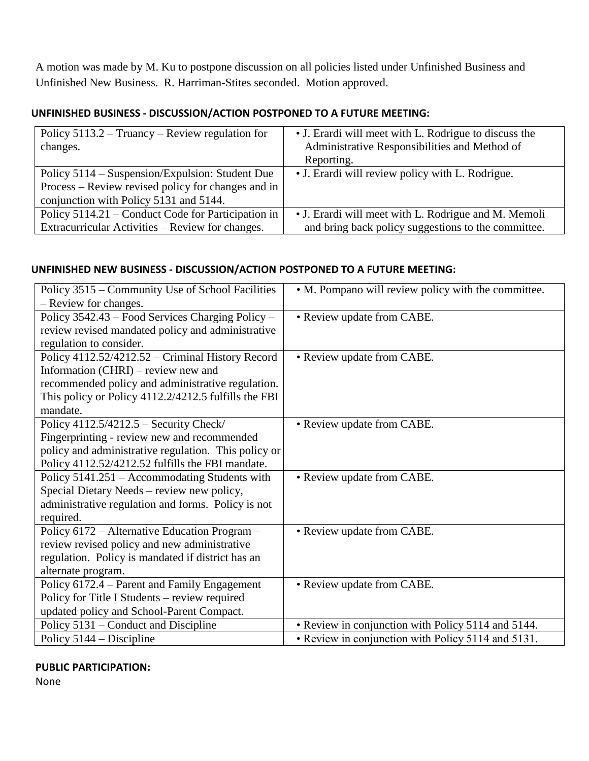A motion was made by M. Ku to postpone discussion on all policies listed under Unfinished Business and Unfinished New Business. R. Harriman-Stites seconded. Motion approved.

# **UNFINISHED BUSINESS - DISCUSSION/ACTION POSTPONED TO A FUTURE MEETING:**

| Policy $5113.2 - Truancy - Review regulation for$<br>changes.                                                                                   | • J. Erardi will meet with L. Rodrigue to discuss the<br>Administrative Responsibilities and Method of<br>Reporting. |
|-------------------------------------------------------------------------------------------------------------------------------------------------|----------------------------------------------------------------------------------------------------------------------|
| Policy 5114 – Suspension/Expulsion: Student Due<br>Process – Review revised policy for changes and in<br>conjunction with Policy 5131 and 5144. | • J. Erardi will review policy with L. Rodrigue.                                                                     |
| Policy 5114.21 – Conduct Code for Participation in<br>Extracurricular Activities – Review for changes.                                          | • J. Erardi will meet with L. Rodrigue and M. Memoli<br>and bring back policy suggestions to the committee.          |

## **UNFINISHED NEW BUSINESS - DISCUSSION/ACTION POSTPONED TO A FUTURE MEETING:**

| Policy 3515 – Community Use of School Facilities     | • M. Pompano will review policy with the committee. |
|------------------------------------------------------|-----------------------------------------------------|
| - Review for changes.                                |                                                     |
| Policy 3542.43 – Food Services Charging Policy –     | • Review update from CABE.                          |
| review revised mandated policy and administrative    |                                                     |
| regulation to consider.                              |                                                     |
| Policy 4112.52/4212.52 – Criminal History Record     | • Review update from CABE.                          |
| Information (CHRI) – review new and                  |                                                     |
| recommended policy and administrative regulation.    |                                                     |
| This policy or Policy 4112.2/4212.5 fulfills the FBI |                                                     |
| mandate.                                             |                                                     |
| Policy $4112.5/4212.5$ – Security Check/             | • Review update from CABE.                          |
| Fingerprinting - review new and recommended          |                                                     |
| policy and administrative regulation. This policy or |                                                     |
| Policy 4112.52/4212.52 fulfills the FBI mandate.     |                                                     |
| Policy 5141.251 – Accommodating Students with        | • Review update from CABE.                          |
| Special Dietary Needs – review new policy,           |                                                     |
| administrative regulation and forms. Policy is not   |                                                     |
| required.                                            |                                                     |
| Policy 6172 – Alternative Education Program –        | • Review update from CABE.                          |
| review revised policy and new administrative         |                                                     |
| regulation. Policy is mandated if district has an    |                                                     |
| alternate program.                                   |                                                     |
| Policy 6172.4 – Parent and Family Engagement         | • Review update from CABE.                          |
| Policy for Title I Students – review required        |                                                     |
| updated policy and School-Parent Compact.            |                                                     |
| Policy 5131 – Conduct and Discipline                 | • Review in conjunction with Policy 5114 and 5144.  |
| Policy $5144 - Discipline$                           | • Review in conjunction with Policy 5114 and 5131.  |

#### **PUBLIC PARTICIPATION:**

None